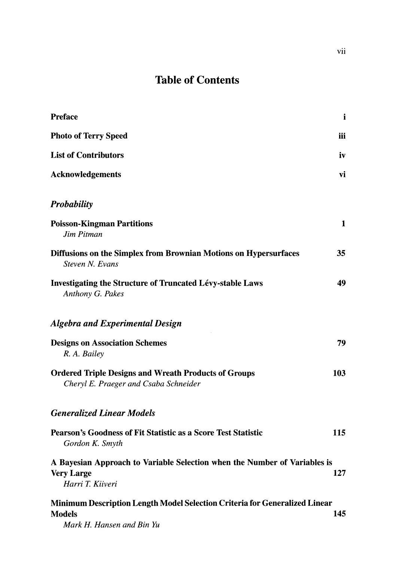## **Table of Contents**

| <b>Preface</b>                                                                                                           | i            |
|--------------------------------------------------------------------------------------------------------------------------|--------------|
| <b>Photo of Terry Speed</b>                                                                                              | iii          |
| <b>List of Contributors</b>                                                                                              | iv           |
| <b>Acknowledgements</b>                                                                                                  | vi           |
| <b>Probability</b>                                                                                                       |              |
| <b>Poisson-Kingman Partitions</b><br>Jim Pitman                                                                          | $\mathbf{1}$ |
| Diffusions on the Simplex from Brownian Motions on Hypersurfaces<br>Steven N. Evans                                      | 35           |
| <b>Investigating the Structure of Truncated Lévy-stable Laws</b><br>Anthony G. Pakes                                     | 49           |
| <b>Algebra and Experimental Design</b>                                                                                   |              |
| <b>Designs on Association Schemes</b><br>R. A. Bailey                                                                    | 79           |
| <b>Ordered Triple Designs and Wreath Products of Groups</b><br>Cheryl E. Praeger and Csaba Schneider                     | 103          |
| <b>Generalized Linear Models</b>                                                                                         |              |
| <b>Pearson's Goodness of Fit Statistic as a Score Test Statistic</b><br>Gordon K. Smyth                                  | 115          |
| A Bayesian Approach to Variable Selection when the Number of Variables is<br><b>Very Large</b><br>Harri T. Kiiveri       | 127          |
| Minimum Description Length Model Selection Criteria for Generalized Linear<br><b>Models</b><br>Mark H. Hansen and Bin Yu | 145          |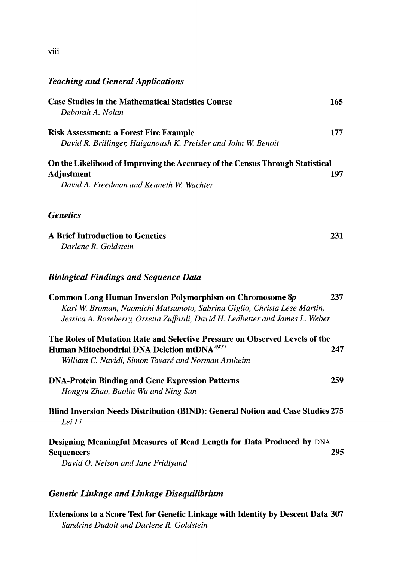## *Teaching and General Applications*

| <b>Case Studies in the Mathematical Statistics Course</b><br>Deborah A. Nolan                                                                                                                                                 | 165 |
|-------------------------------------------------------------------------------------------------------------------------------------------------------------------------------------------------------------------------------|-----|
| <b>Risk Assessment: a Forest Fire Example</b><br>David R. Brillinger, Haiganoush K. Preisler and John W. Benoit                                                                                                               | 177 |
| On the Likelihood of Improving the Accuracy of the Census Through Statistical<br><b>Adjustment</b><br>David A. Freedman and Kenneth W. Wachter                                                                                | 197 |
| <b>Genetics</b>                                                                                                                                                                                                               |     |
| <b>A Brief Introduction to Genetics</b><br>Darlene R. Goldstein                                                                                                                                                               | 231 |
| <b>Biological Findings and Sequence Data</b>                                                                                                                                                                                  |     |
| <b>Common Long Human Inversion Polymorphism on Chromosome 8p</b><br>Karl W. Broman, Naomichi Matsumoto, Sabrina Giglio, Christa Lese Martin,<br>Jessica A. Roseberry, Orsetta Zuffardi, David H. Ledbetter and James L. Weber | 237 |
| The Roles of Mutation Rate and Selective Pressure on Observed Levels of the<br>Human Mitochondrial DNA Deletion mtDNA <sup>4977</sup><br>William C. Navidi, Simon Tavaré and Norman Arnheim                                   | 247 |
| <b>DNA-Protein Binding and Gene Expression Patterns</b><br>Hongyu Zhao, Baolin Wu and Ning Sun                                                                                                                                | 259 |
| Blind Inversion Needs Distribution (BIND): General Notion and Case Studies 275<br>Lei Li                                                                                                                                      |     |
| Designing Meaningful Measures of Read Length for Data Produced by DNA<br><b>Sequencers</b><br>David O. Nelson and Jane Fridlyand                                                                                              | 295 |
| <b>Genetic Linkage and Linkage Disequilibrium</b>                                                                                                                                                                             |     |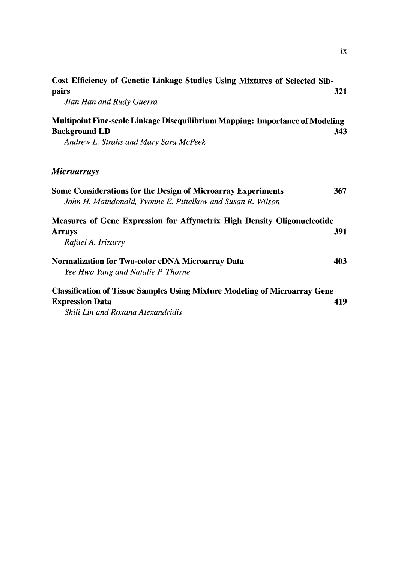| Cost Efficiency of Genetic Linkage Studies Using Mixtures of Selected Sib-                                                         |     |
|------------------------------------------------------------------------------------------------------------------------------------|-----|
| pairs                                                                                                                              | 321 |
| Jian Han and Rudy Guerra                                                                                                           |     |
| Multipoint Fine-scale Linkage Disequilibrium Mapping: Importance of Modeling                                                       |     |
| <b>Background LD</b>                                                                                                               | 343 |
| Andrew L. Strahs and Mary Sara McPeek                                                                                              |     |
| <i>Microarrays</i>                                                                                                                 |     |
| <b>Some Considerations for the Design of Microarray Experiments</b><br>John H. Maindonald, Yvonne E. Pittelkow and Susan R. Wilson | 367 |
| <b>Measures of Gene Expression for Affymetrix High Density Oligonucleotide</b><br><b>Arrays</b>                                    | 391 |
| Rafael A. Irizarry                                                                                                                 |     |
| <b>Normalization for Two-color cDNA Microarray Data</b>                                                                            | 403 |
| Yee Hwa Yang and Natalie P. Thorne                                                                                                 |     |
| <b>Classification of Tissue Samples Using Mixture Modeling of Microarray Gene</b>                                                  |     |
| <b>Expression Data</b>                                                                                                             | 419 |
| Shili Lin and Roxana Alexandridis                                                                                                  |     |

**IX**